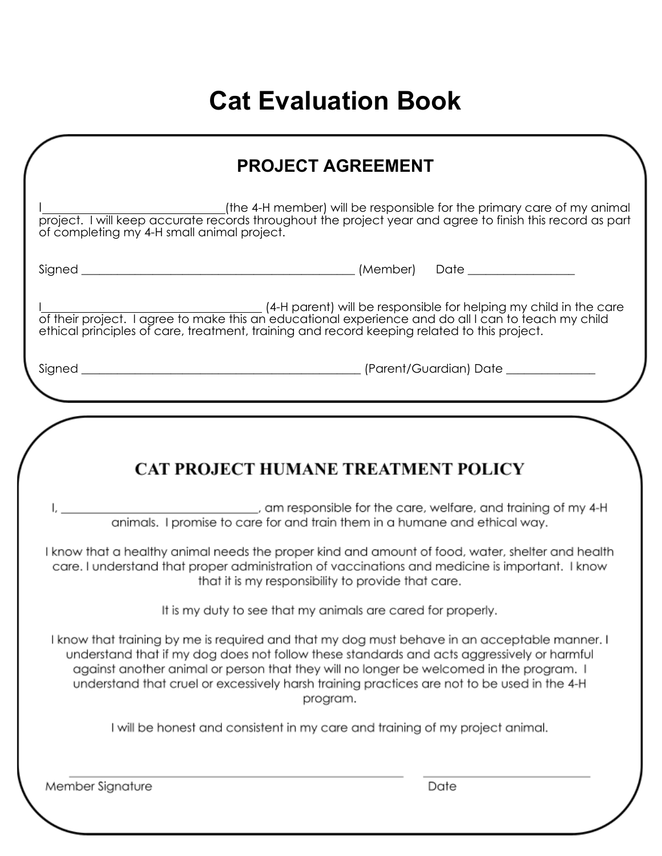# **Cat Evaluation Book**

|                                            | <b>PROJECT AGREEMENT</b>                                                                                                                                                                                                                                                                                                                                                                          |
|--------------------------------------------|---------------------------------------------------------------------------------------------------------------------------------------------------------------------------------------------------------------------------------------------------------------------------------------------------------------------------------------------------------------------------------------------------|
| of completing my 4-H small animal project. |                                                                                                                                                                                                                                                                                                                                                                                                   |
|                                            |                                                                                                                                                                                                                                                                                                                                                                                                   |
|                                            | (4-H parent) will be responsible for helping my child in the care<br>of their project. I agree to make this an educational experience and do all I can to feach my child<br>ethical principles of care, treatment, training and record keeping related to this project.                                                                                                                           |
|                                            |                                                                                                                                                                                                                                                                                                                                                                                                   |
|                                            | _________________________, am responsible for the care, welfare, and training of my 4-H<br>animals. I promise to care for and train them in a humane and ethical way.<br>I know that a healthy animal needs the proper kind and amount of food, water, shelter and health                                                                                                                         |
|                                            | <b>CAT PROJECT HUMANE TREATMENT POLICY</b>                                                                                                                                                                                                                                                                                                                                                        |
|                                            | care. I understand that proper administration of vaccinations and medicine is important. I know<br>that it is my responsibility to provide that care.<br>It is my duty to see that my animals are cared for properly.                                                                                                                                                                             |
|                                            | I know that training by me is required and that my dog must behave in an acceptable manner. I<br>understand that if my dog does not follow these standards and acts aggressively or harmful<br>against another animal or person that they will no longer be welcomed in the program. I<br>understand that cruel or excessively harsh training practices are not to be used in the 4-H<br>program. |
|                                            | I will be honest and consistent in my care and training of my project animal.                                                                                                                                                                                                                                                                                                                     |
| Member Signature                           | Date                                                                                                                                                                                                                                                                                                                                                                                              |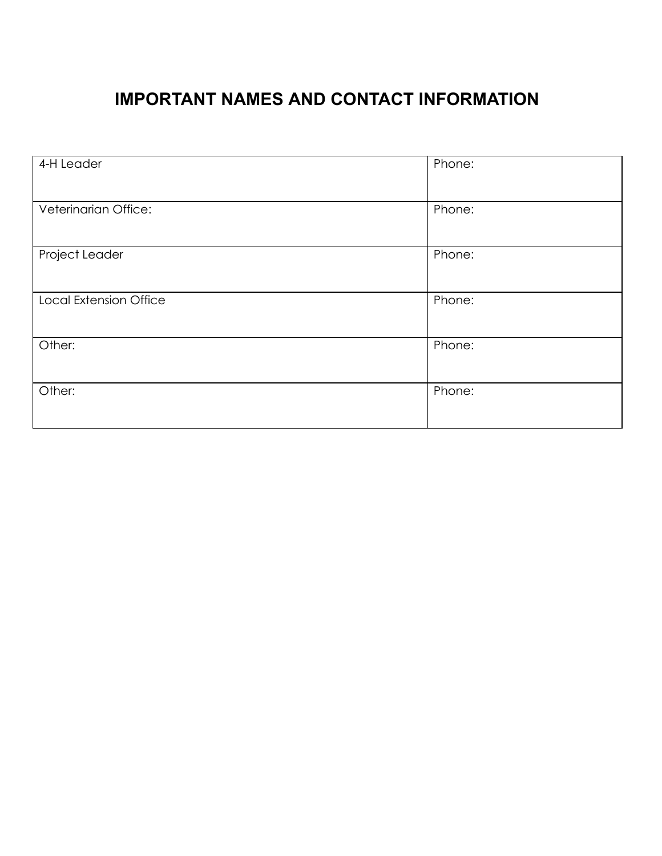# **IMPORTANT NAMES AND CONTACT INFORMATION**

| 4-H Leader             | Phone: |
|------------------------|--------|
| Veterinarian Office:   | Phone: |
| Project Leader         | Phone: |
| Local Extension Office | Phone: |
| Other:                 | Phone: |
| Other:                 | Phone: |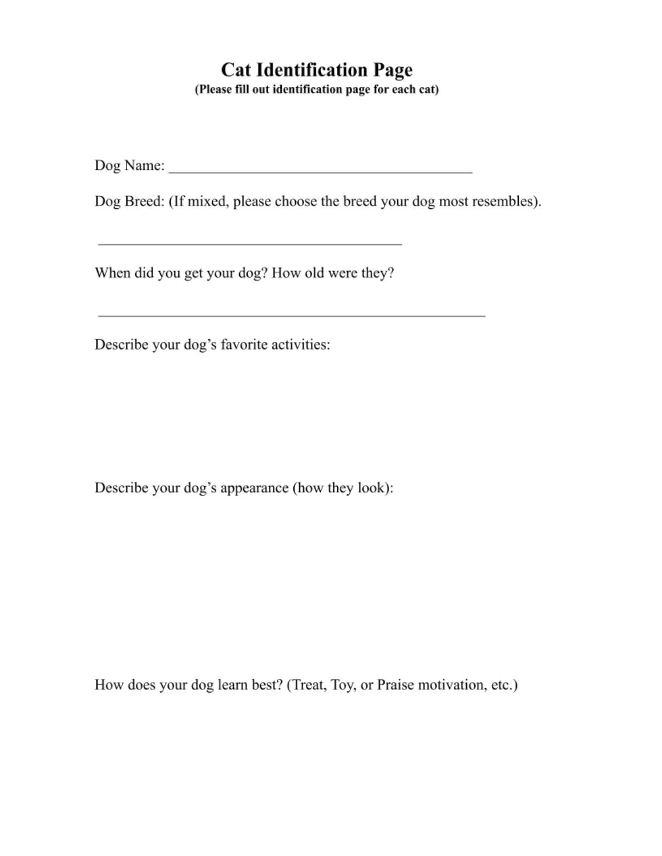# **Cat Identification Page**

(Please fill out identification page for each cat)

Dog Breed: (If mixed, please choose the breed your dog most resembles).

the control of the control of the control of the control of

When did you get your dog? How old were they?

Describe your dog's favorite activities:

Describe your dog's appearance (how they look):

How does your dog learn best? (Treat, Toy, or Praise motivation, etc.)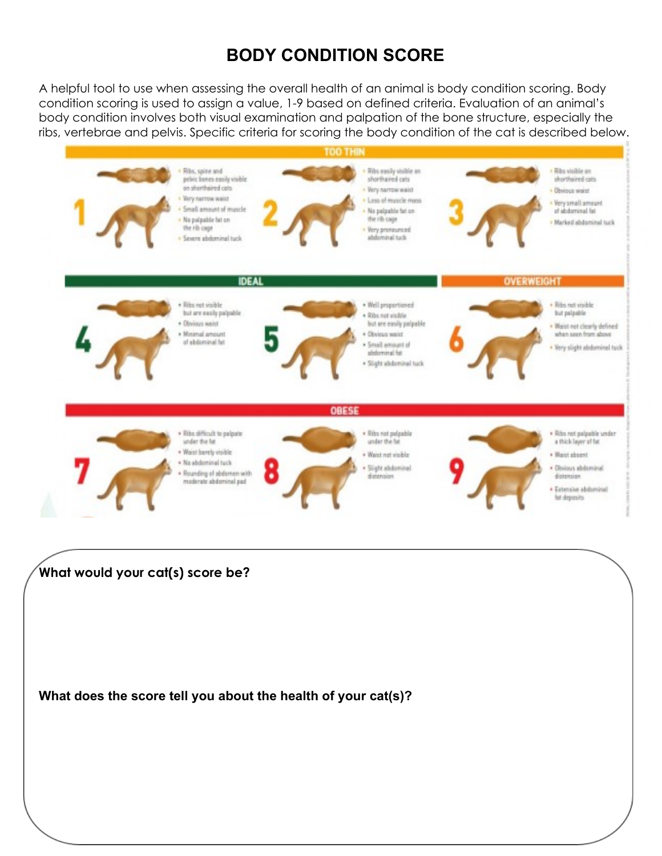# **BODY CONDITION SCORE**

A helpful tool to use when assessing the overall health of an animal is body condition scoring. Body condition scoring is used to assign a value, 1-9 based on defined criteria. Evaluation of an animal's body condition involves both visual examination and palpation of the bone structure, especially the ribs, vertebrae and pelvis. Specific criteria for scoring the body condition of the cat is described below.



**What does the score tell you about the health of your cat(s)?**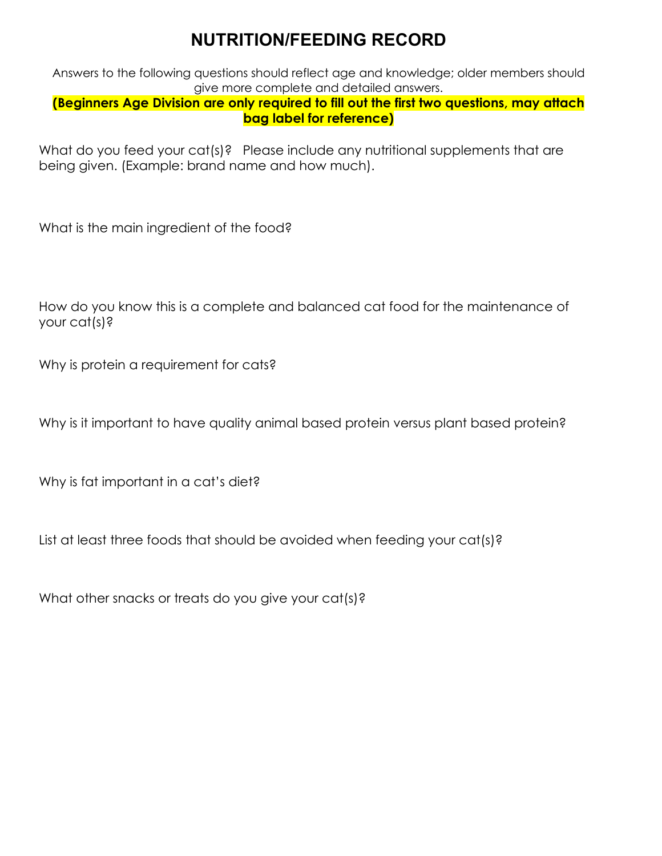# **NUTRITION/FEEDING RECORD**

Answers to the following questions should reflect age and knowledge; older members should give more complete and detailed answers.

#### **(Beginners Age Division are only required to fill out the first two questions, may attach bag label for reference)**

What do you feed your cat(s)? Please include any nutritional supplements that are being given. (Example: brand name and how much).

What is the main ingredient of the food?

How do you know this is a complete and balanced cat food for the maintenance of your cat(s)?

Why is protein a requirement for cats?

Why is it important to have quality animal based protein versus plant based protein?

Why is fat important in a cat's diet?

List at least three foods that should be avoided when feeding your cat(s)?

What other snacks or treats do you give your cat(s)?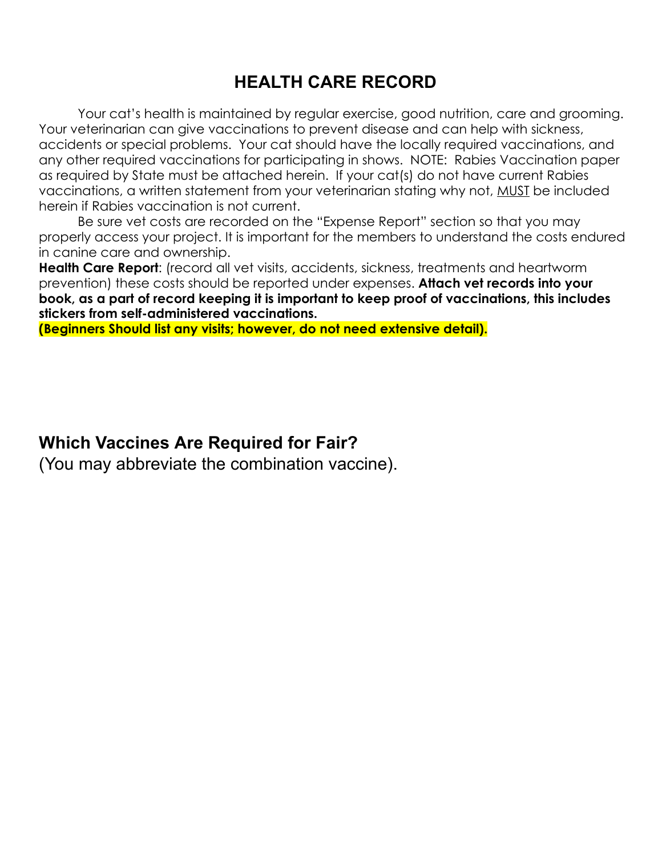### **HEALTH CARE RECORD**

Your cat's health is maintained by regular exercise, good nutrition, care and grooming. Your veterinarian can give vaccinations to prevent disease and can help with sickness, accidents or special problems. Your cat should have the locally required vaccinations, and any other required vaccinations for participating in shows. NOTE: Rabies Vaccination paper as required by State must be attached herein. If your cat(s) do not have current Rabies vaccinations, a written statement from your veterinarian stating why not, MUST be included herein if Rabies vaccination is not current.

Be sure vet costs are recorded on the "Expense Report" section so that you may properly access your project. It is important for the members to understand the costs endured in canine care and ownership.

**Health Care Report**: (record all vet visits, accidents, sickness, treatments and heartworm prevention) these costs should be reported under expenses. **Attach vet records into your book, as a part of record keeping it is important to keep proof of vaccinations, this includes stickers from self-administered vaccinations.**

**(Beginners Should list any visits; however, do not need extensive detail).**

### **Which Vaccines Are Required for Fair?**

(You may abbreviate the combination vaccine).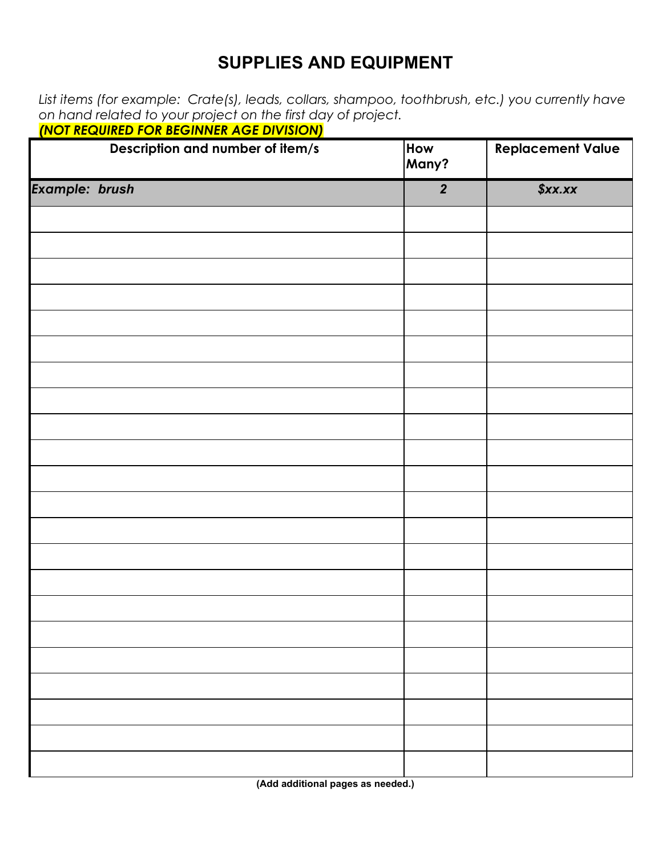### **SUPPLIES AND EQUIPMENT**

*List items (for example: Crate(s), leads, collars, shampoo, toothbrush, etc.) you currently have on hand related to your project on the first day of project.*

|                       | Description and number of item/s | How<br>Many?     | <b>Replacement Value</b> |
|-----------------------|----------------------------------|------------------|--------------------------|
| <b>Example: brush</b> |                                  | $\boldsymbol{2}$ | \$xx.xx                  |
|                       |                                  |                  |                          |
|                       |                                  |                  |                          |
|                       |                                  |                  |                          |
|                       |                                  |                  |                          |
|                       |                                  |                  |                          |
|                       |                                  |                  |                          |
|                       |                                  |                  |                          |
|                       |                                  |                  |                          |
|                       |                                  |                  |                          |
|                       |                                  |                  |                          |
|                       |                                  |                  |                          |
|                       |                                  |                  |                          |
|                       |                                  |                  |                          |
|                       |                                  |                  |                          |
|                       |                                  |                  |                          |
|                       |                                  |                  |                          |
|                       |                                  |                  |                          |
|                       |                                  |                  |                          |
|                       |                                  |                  |                          |
|                       |                                  |                  |                          |
|                       |                                  |                  |                          |
|                       |                                  |                  |                          |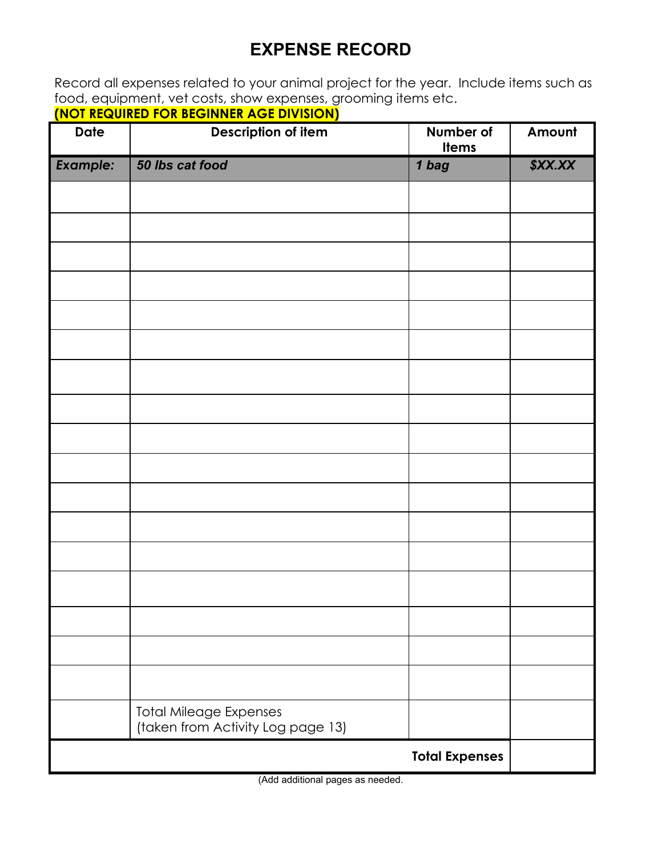# **EXPENSE RECORD**

Record all expenses related to your animal project for the year. Include items such as food, equipment, vet costs, show expenses, grooming items etc.

| (NOT REQUIRED FOR BEGINNER AGE DIVISION) |  |
|------------------------------------------|--|
|                                          |  |

| <b>Date</b>     | <b>Description of item</b><br>Number of<br><b>Items</b>            |                       | Amount  |
|-----------------|--------------------------------------------------------------------|-----------------------|---------|
| <b>Example:</b> | 50 lbs cat food                                                    | 1 bag                 | \$XX.XX |
|                 |                                                                    |                       |         |
|                 |                                                                    |                       |         |
|                 |                                                                    |                       |         |
|                 |                                                                    |                       |         |
|                 |                                                                    |                       |         |
|                 |                                                                    |                       |         |
|                 |                                                                    |                       |         |
|                 |                                                                    |                       |         |
|                 |                                                                    |                       |         |
|                 |                                                                    |                       |         |
|                 |                                                                    |                       |         |
|                 |                                                                    |                       |         |
|                 |                                                                    |                       |         |
|                 |                                                                    |                       |         |
|                 |                                                                    |                       |         |
|                 |                                                                    |                       |         |
|                 |                                                                    |                       |         |
|                 | <b>Total Mileage Expenses</b><br>(taken from Activity Log page 13) |                       |         |
|                 |                                                                    | <b>Total Expenses</b> |         |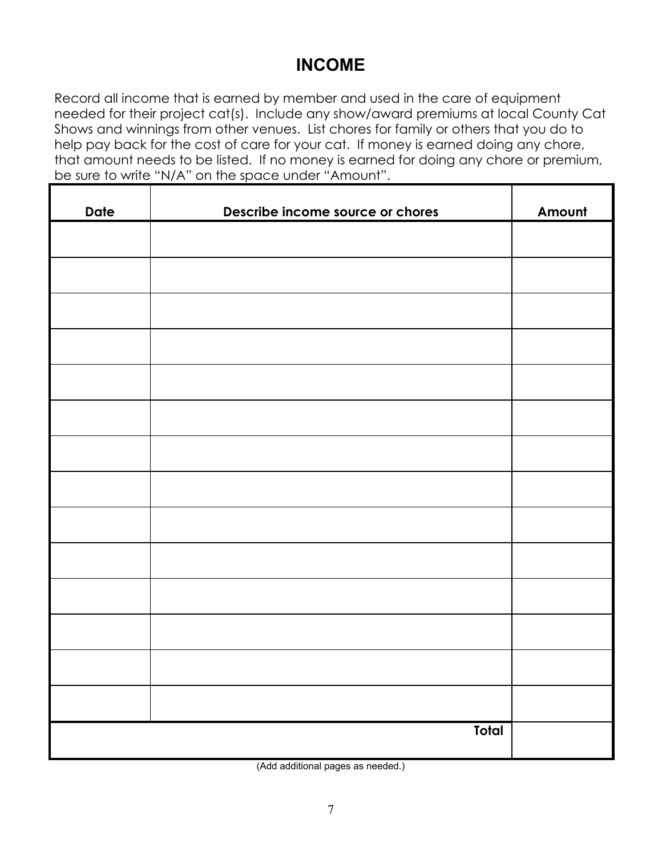### **INCOME**

Record all income that is earned by member and used in the care of equipment needed for their project cat(s). Include any show/award premiums at local County Cat Shows and winnings from other venues. List chores for family or others that you do to help pay back for the cost of care for your cat. If money is earned doing any chore, that amount needs to be listed. If no money is earned for doing any chore or premium, be sure to write "N/A" on the space under "Amount".

| <b>Date</b> | Describe income source or chores | Amount |
|-------------|----------------------------------|--------|
|             |                                  |        |
|             |                                  |        |
|             |                                  |        |
|             |                                  |        |
|             |                                  |        |
|             |                                  |        |
|             |                                  |        |
|             |                                  |        |
|             |                                  |        |
|             |                                  |        |
|             |                                  |        |
|             |                                  |        |
|             |                                  |        |
|             |                                  |        |
|             |                                  |        |
|             | Total                            |        |

(Add additional pages as needed.)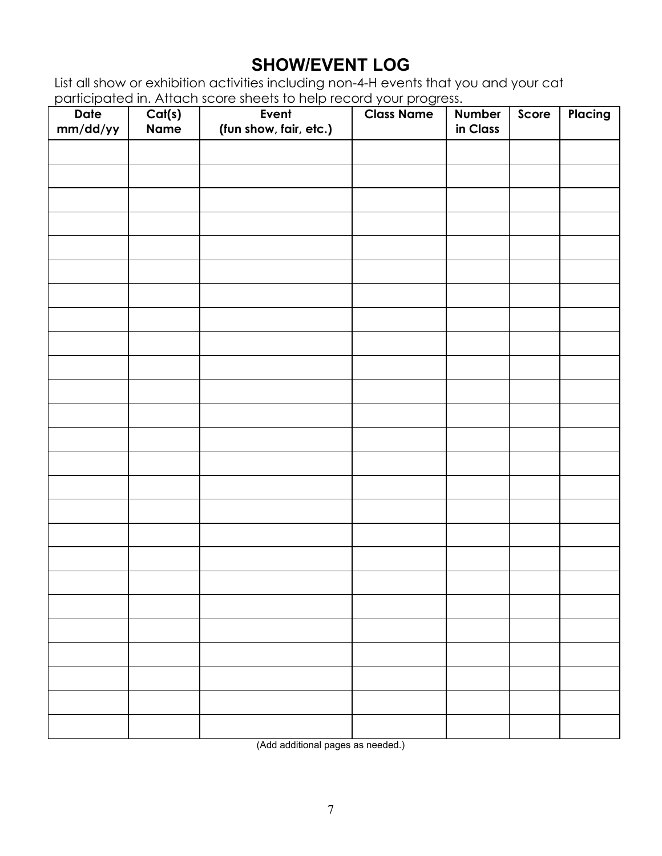# **SHOW/EVENT LOG**

List all show or exhibition activities including non-4-H events that you and your cat participated in. Attach score sheets to help record your progress.

| Date<br>mm/dd/yy | Cat(s)<br><b>Name</b> | Event<br>(fun show, fair, etc.) | <b>Class Name</b> | Number<br>in Class | Score | Placing |
|------------------|-----------------------|---------------------------------|-------------------|--------------------|-------|---------|
|                  |                       |                                 |                   |                    |       |         |
|                  |                       |                                 |                   |                    |       |         |
|                  |                       |                                 |                   |                    |       |         |
|                  |                       |                                 |                   |                    |       |         |
|                  |                       |                                 |                   |                    |       |         |
|                  |                       |                                 |                   |                    |       |         |
|                  |                       |                                 |                   |                    |       |         |
|                  |                       |                                 |                   |                    |       |         |
|                  |                       |                                 |                   |                    |       |         |
|                  |                       |                                 |                   |                    |       |         |
|                  |                       |                                 |                   |                    |       |         |
|                  |                       |                                 |                   |                    |       |         |
|                  |                       |                                 |                   |                    |       |         |
|                  |                       |                                 |                   |                    |       |         |
|                  |                       |                                 |                   |                    |       |         |
|                  |                       |                                 |                   |                    |       |         |
|                  |                       |                                 |                   |                    |       |         |
|                  |                       |                                 |                   |                    |       |         |
|                  |                       |                                 |                   |                    |       |         |
|                  |                       |                                 |                   |                    |       |         |
|                  |                       |                                 |                   |                    |       |         |
|                  |                       |                                 |                   |                    |       |         |
|                  |                       |                                 |                   |                    |       |         |
|                  |                       |                                 |                   |                    |       |         |
|                  |                       |                                 |                   |                    |       |         |

(Add additional pages as needed.)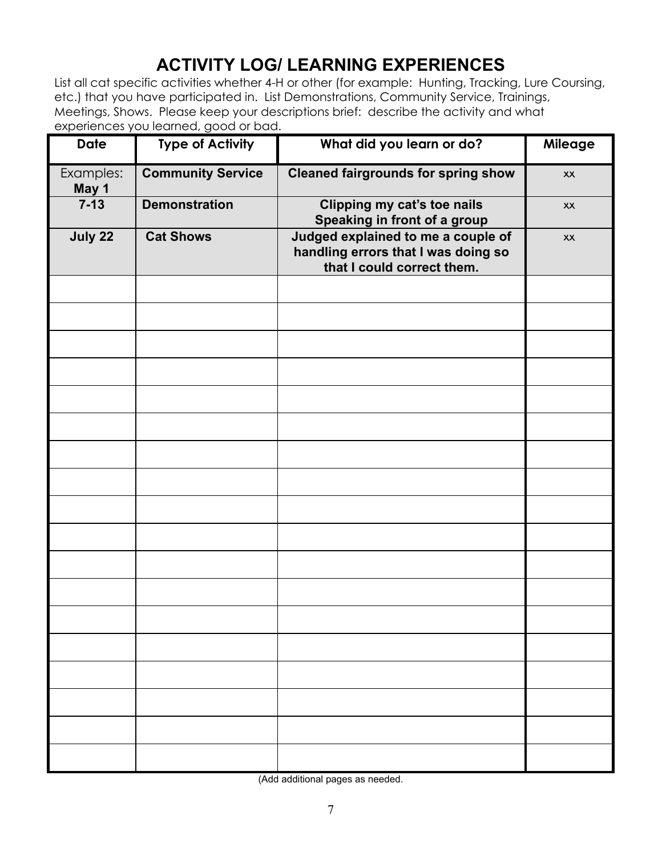# **ACTIVITY LOG/ LEARNING EXPERIENCES**

List all cat specific activities whether 4-H or other (for example: Hunting, Tracking, Lure Coursing, etc.) that you have participated in. List Demonstrations, Community Service, Trainings, Meetings, Shows. Please keep your descriptions brief: describe the activity and what experiences you learned, good or bad.

| <b>Date</b>        | <b>Type of Activity</b>  | What did you learn or do?                                                                               | Mileage |
|--------------------|--------------------------|---------------------------------------------------------------------------------------------------------|---------|
| Examples:<br>May 1 | <b>Community Service</b> | <b>Cleaned fairgrounds for spring show</b>                                                              | XX      |
| $7 - 13$           | <b>Demonstration</b>     | Clipping my cat's toe nails<br>Speaking in front of a group                                             | XX      |
| July 22            | <b>Cat Shows</b>         | Judged explained to me a couple of<br>handling errors that I was doing so<br>that I could correct them. | XX      |
|                    |                          |                                                                                                         |         |
|                    |                          |                                                                                                         |         |
|                    |                          |                                                                                                         |         |
|                    |                          |                                                                                                         |         |
|                    |                          |                                                                                                         |         |
|                    |                          |                                                                                                         |         |
|                    |                          |                                                                                                         |         |
|                    |                          |                                                                                                         |         |
|                    |                          |                                                                                                         |         |
|                    |                          |                                                                                                         |         |
|                    |                          |                                                                                                         |         |
|                    |                          |                                                                                                         |         |
|                    |                          |                                                                                                         |         |
|                    |                          |                                                                                                         |         |
|                    |                          |                                                                                                         |         |
|                    |                          |                                                                                                         |         |
|                    |                          |                                                                                                         |         |
|                    |                          |                                                                                                         |         |

(Add additional pages as needed.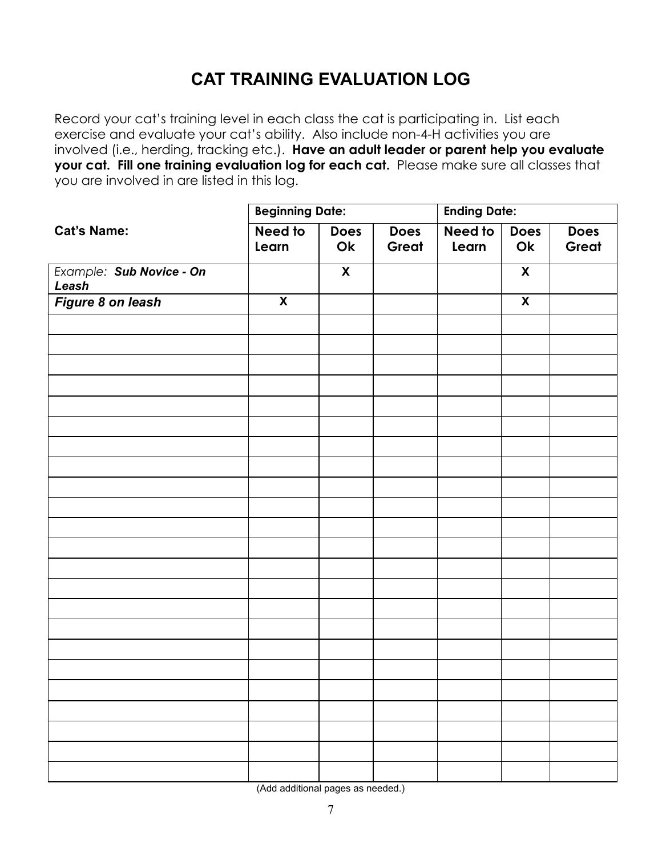# **CAT TRAINING EVALUATION LOG**

Record your cat's training level in each class the cat is participating in. List each exercise and evaluate your cat's ability. Also include non-4-H activities you are involved (i.e., herding, tracking etc.). **Have an adult leader or parent help you evaluate your cat. Fill one training evaluation log for each cat.** Please make sure all classes that you are involved in are listed in this log.

|                                   | <b>Beginning Date:</b> |                         | <b>Ending Date:</b>  |                  |                           |                      |
|-----------------------------------|------------------------|-------------------------|----------------------|------------------|---------------------------|----------------------|
| <b>Cat's Name:</b>                | Need to<br>Learn       | Does<br>Ok              | <b>Does</b><br>Great | Need to<br>Learn | <b>Does</b><br>Ok         | <b>Does</b><br>Great |
| Example: Sub Novice - On<br>Leash |                        | $\overline{\mathbf{X}}$ |                      |                  | $\pmb{\mathsf{X}}$        |                      |
| Figure 8 on leash                 | $\pmb{\mathsf{X}}$     |                         |                      |                  | $\boldsymbol{\mathsf{X}}$ |                      |
|                                   |                        |                         |                      |                  |                           |                      |
|                                   |                        |                         |                      |                  |                           |                      |
|                                   |                        |                         |                      |                  |                           |                      |
|                                   |                        |                         |                      |                  |                           |                      |
|                                   |                        |                         |                      |                  |                           |                      |
|                                   |                        |                         |                      |                  |                           |                      |
|                                   |                        |                         |                      |                  |                           |                      |
|                                   |                        |                         |                      |                  |                           |                      |
|                                   |                        |                         |                      |                  |                           |                      |
|                                   |                        |                         |                      |                  |                           |                      |
|                                   |                        |                         |                      |                  |                           |                      |
|                                   |                        |                         |                      |                  |                           |                      |
|                                   |                        |                         |                      |                  |                           |                      |
|                                   |                        |                         |                      |                  |                           |                      |
|                                   |                        |                         |                      |                  |                           |                      |
|                                   |                        |                         |                      |                  |                           |                      |
|                                   |                        |                         |                      |                  |                           |                      |
|                                   |                        |                         |                      |                  |                           |                      |
|                                   |                        |                         |                      |                  |                           |                      |
|                                   |                        |                         |                      |                  |                           |                      |
|                                   |                        |                         |                      |                  |                           |                      |
|                                   |                        |                         |                      |                  |                           |                      |
|                                   |                        |                         |                      |                  |                           |                      |

(Add additional pages as needed.)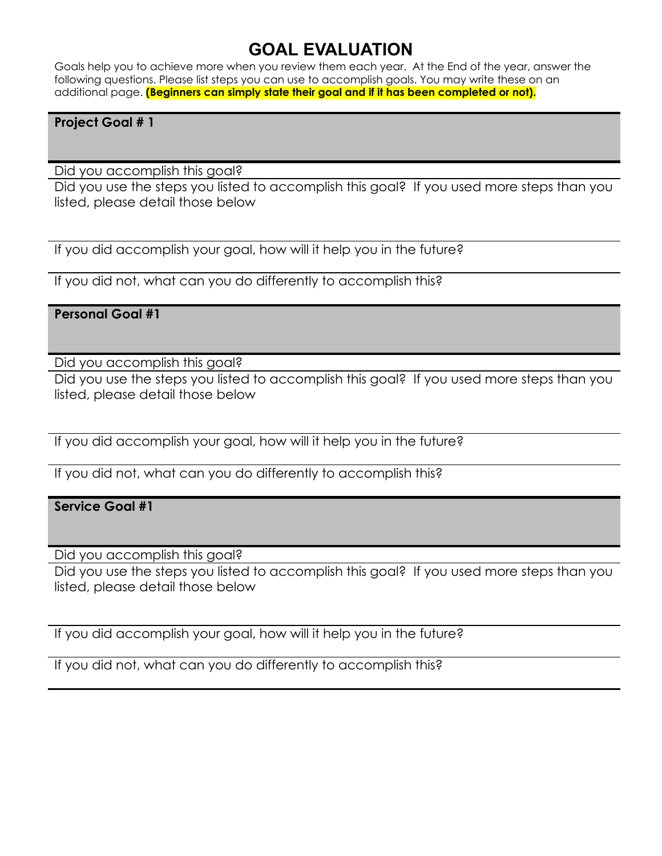### **GOAL EVALUATION**

Goals help you to achieve more when you review them each year. At the End of the year, answer the following questions. Please list steps you can use to accomplish goals. You may write these on an additional page. **(Beginners can simply state their goal and if it has been completed or not).**

#### **Project Goal # 1**

Did you accomplish this goal?

Did you use the steps you listed to accomplish this goal? If you used more steps than you listed, please detail those below

If you did accomplish your goal, how will it help you in the future?

If you did not, what can you do differently to accomplish this?

#### **Personal Goal #1**

Did you accomplish this goal?

Did you use the steps you listed to accomplish this goal? If you used more steps than you listed, please detail those below

If you did accomplish your goal, how will it help you in the future?

If you did not, what can you do differently to accomplish this?

#### **Service Goal #1**

Did you accomplish this goal?

Did you use the steps you listed to accomplish this goal? If you used more steps than you listed, please detail those below

If you did accomplish your goal, how will it help you in the future?

If you did not, what can you do differently to accomplish this?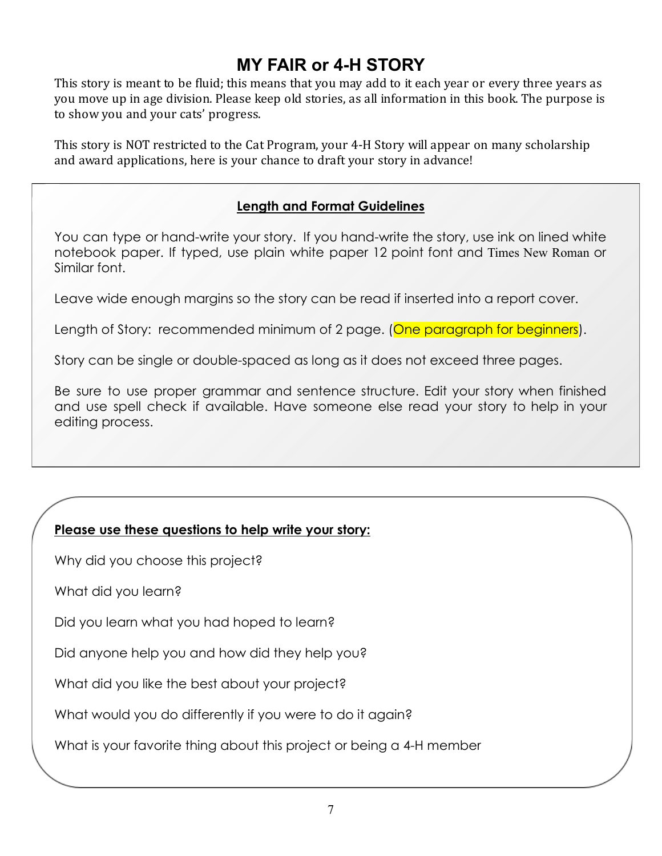# **MY FAIR or 4-H STORY**

This story is meant to be fluid; this means that you may add to it each year or every three years as you move up in age division. Please keep old stories, as all information in this book. The purpose is to show you and your cats' progress.

This story is NOT restricted to the Cat Program, your 4-H Story will appear on many scholarship and award applications, here is your chance to draft your story in advance!

#### **Length and Format Guidelines**

You can type or hand-write your story. If you hand-write the story, use ink on lined white notebook paper. If typed, use plain white paper 12 point font and Times New Roman or Similar font.

Leave wide enough margins so the story can be read if inserted into a report cover.

Length of Story: recommended minimum of 2 page. (One paragraph for beginners).

Story can be single or double-spaced as long as it does not exceed three pages.

Be sure to use proper grammar and sentence structure. Edit your story when finished and use spell check if available. Have someone else read your story to help in your editing process.

#### **Please use these questions to help write your story:**

Why did you choose this project?

What did you learn?

Did you learn what you had hoped to learn?

Did anyone help you and how did they help you?

What did you like the best about your project?

What would you do differently if you were to do it again?

What is your favorite thing about this project or being a 4-H member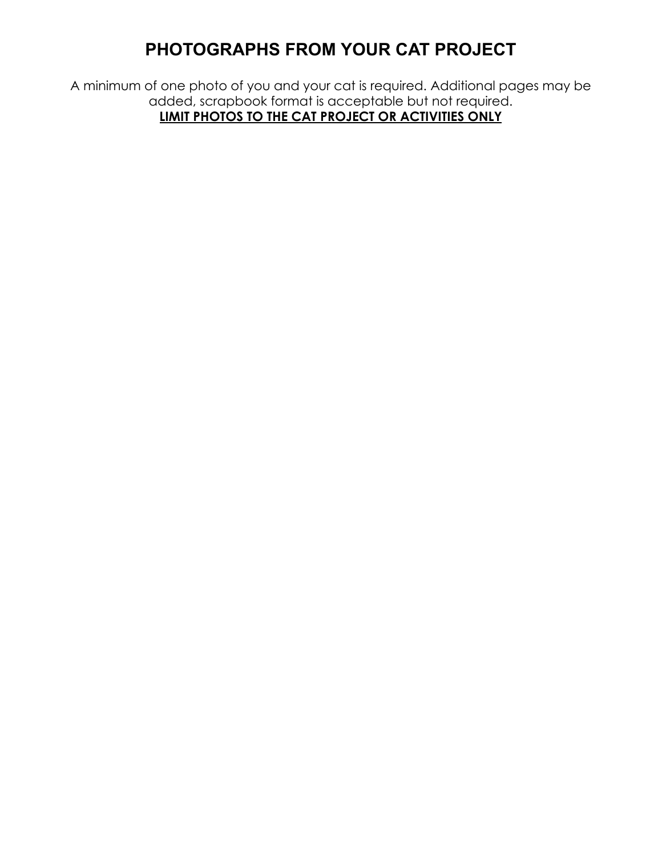# **PHOTOGRAPHS FROM YOUR CAT PROJECT**

A minimum of one photo of you and your cat is required. Additional pages may be added, scrapbook format is acceptable but not required. **LIMIT PHOTOS TO THE CAT PROJECT OR ACTIVITIES ONLY**